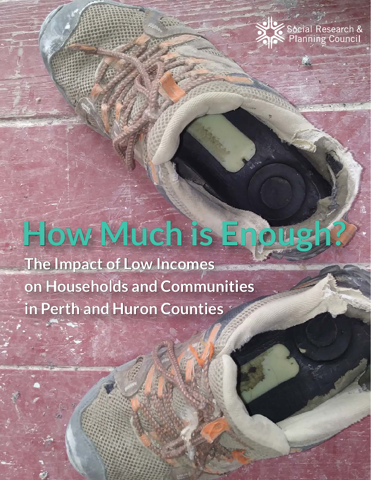

# **How Much is Enough?**

**The Impact of Low Incomes on Households and Communities in Perth and Huron Counties**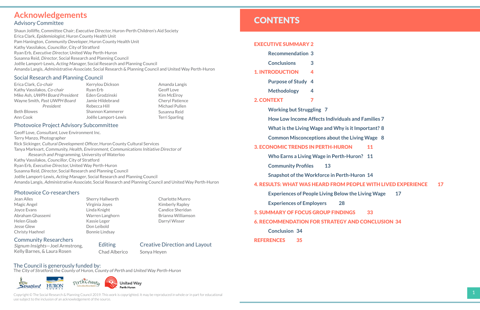#### [EXECUTIVE SUMMARY](#page-2-0) 2

| <b>Recommendation 3</b> |  |
|-------------------------|--|
|-------------------------|--|

**[Conclusions 3](#page-2-0)**

#### [1. INTRODUCTION](#page-3-0) 4

- **[Purpose of Study](#page-3-0) 4**
- **[Methodology](#page-3-0) 4**
- [2. CONTEXT 7](#page-4-0)
	- **[Working but Struggling](#page-4-0) 7**
	- **[How Low Income Affects Individuals and Families](#page-4-0) 7**
	- **[What is the Living Wage and Why is it Important?](#page-5-0) 8**
	- **[Common Misconceptions about the Living Wage](#page-5-0) 8**

#### [3. ECONOMIC TRENDS IN PERTH-HURON 11](#page-6-0)

**[Who Earns a Living Wage in Perth-Huron?](#page-6-0) 11**

 **Community [Profiles 13](#page-7-0)**

**[Snapshot of the Workforce in Perth-Huron](#page-8-0) 14** [4. RESULTS: WHAT WAS HEARD FROM PEOPLE WITH LIVED EXPERIENCE](#page-9-0) 17 **[Experiences of People Living Below the Living Wage](#page-9-0) 17**

**[Experiences of Employers](#page-15-0) 28**

#### [5. SUMMARY OF FOCUS GROUP FINDINGS](#page-17-0) 33

#### [6. RECOMMENDATION FOR STRATEGY AND CONCLUSION](#page-18-0) 34

**[Conclusion](#page-18-0) 34**

[REFERENCES](#page-18-0) 35

## **Acknowledgements**

#### Advisory Committee

Shaun Jolliffe, Committee Chair; Executive Director, Huron-Perth Children's Aid Society Erica Clark, Epidemiologist, Huron County Health Unit Pam Hanington, Community Developer, Huron County Health Unit Kathy Vassilakos, Councillor, City of Stratford Ryan Erb, Executive Director, United Way Perth-Huron Susanna Reid, Director, Social Research and Planning Council Joëlle Lamport-Lewis, Acting Manager, Social Research and Planning Council Amanda Langis, Administrative Associate, Social Research & Planning Council and United Way Perth-Huron

#### Social Research and Planning Council

# Photovoice Project Advisory Subcommittee

Geoff Love, Consultant, Love Environment Inc. Terry Manzo, Photographer Rick Sickinger, Cultural Development Officer, Huron County Cultural Services Tanya Markvart, Community, Health, Environment, Communications Initiative Director of Research and Programming, University of Waterloo Kathy Vassilakos, Councillor, City of Stratford Ryan Erb, Executive Director, United Way Perth-Huron Susanna Reid, Director, Social Research and Planning Council Joëlle Lamport-Lewis, Acting Manager, Social Research and Planning Council Amanda Langis, Administrative Associate, Social Research and Planning Council and United Way Perth-Huron

#### Photovoice Co-researchers

#### Community Researchers

Signum Insights—Joel Armstrong, Kelly Barnes, & Laura Rosen

Erica Clark, Co-chair Kathy Vassilakos, Co-chair Mike Ash, UWPH Board President Wayne Smith, Past UWPH Board President Beth Blowes Ann Cook

Kerrylou Dickson Ryan Erb Eden Grodzinski Jamie Hildebrand Rebecca Hill Shannon Kammerer Joëlle Lamport-Lewis

Amanda Langis Geoff Love Kim McElroy Cheryl Patience Michael Pullen Susanna Reid Terri Sparling

Jean Alles Magic Angel Joyce Evans Abraham Ghassemi Helen Glaab Jesse Glew Christy Haehnel

Sherry Hallworth Virginia Joyes Linda Knight Warren Langhorn Kassie Leger Don Leibold Bonnie Lindsay

Charlotte Munro Kimberly Rapley Candice Sheridan Brianna Williamson Darryl Wisser

The Council is generously funded by:

The City of Stratford, the County of Huron, County of Perth and United Way Perth-Huron





#### Creative Direction and Layout

Sonya Heyen

Copyright © The Social Research & Planning Council 2019. This work is copyrighted. It may be reproduced in whole or in part for educational use subject to the inclusion of an acknowledgement of the source.

# **CONTENTS**

Editing

Chad Alberico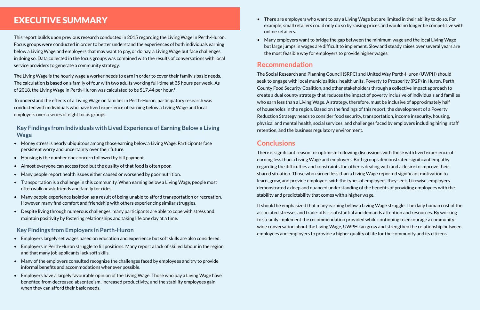• There are employers who want to pay a Living Wage but are limited in their ability to do so. For example, small retailers could only do so by raising prices and would no longer be competitive with

• Many employers want to bridge the gap between the minimum wage and the local Living Wage but large jumps in wages are difficult to implement. Slow and steady raises over several years are

- online retailers.
- the most feasible way for employers to provide higher wages.

#### **Recommendation**

The Social Research and Planning Council (SRPC) and United Way Perth-Huron (UWPH) should seek to engage with local municipalities, health units, Poverty to Prosperity (P2P) in Huron, Perth County Food Security Coalition, and other stakeholders through a collective impact approach to create a dual county strategy that reduces the impact of poverty inclusive of individuals and families who earn less than a Living Wage. A strategy, therefore, must be inclusive of approximately half of households in the region. Based on the findings of this report, the development of a Poverty Reduction Strategy needs to consider food security, transportation, income insecurity, housing, physical and mental health, social services, and challenges faced by employers including hiring, staff retention, and the business regulatory environment.

### **Conclusions**

The Living Wage is the hourly wage a worker needs to earn in order to cover their family's basic needs. The calculation is based on a family of four with two adults working full-time at 35 hours per week. As of 2018, the Living Wage in Perth-Huron was calculated to be \$17.44 per hour.<sup>1</sup>

> There is significant reason for optimism following discussions with those with lived experience of earning less than a Living Wage and employers. Both groups demonstrated significant empathy regarding the difficulties and constraints the other is dealing with and a desire to improve their shared situation. Those who earned less than a Living Wage reported significant motivation to learn, grow, and provide employers with the types of employees they seek. Likewise, employers demonstrated a deep and nuanced understanding of the benefits of providing employees with the stability and predictability that comes with a higher wage.

It should be emphasized that many earning below a Living Wage struggle. The daily human cost of the associated stresses and trade-offs is substantial and demands attention and resources. By working to steadily implement the recommendation provided while continuing to encourage a communitywide conversation about the Living Wage, UWPH can grow and strengthen the relationship between employees and employers to provide a higher quality of life for the community and its citizens.

# <span id="page-2-0"></span>EXECUTIVE SUMMARY

This report builds upon previous research conducted in 2015 regarding the Living Wage in Perth-Huron. Focus groups were conducted in order to better understand the experiences of both individuals earning below a Living Wage and employers that may want to pay, or do pay, a Living Wage but face challenges in doing so. Data collected in the focus groups was combined with the results of conversations with local service providers to generate a community strategy.

To understand the effects of a Living Wage on families in Perth-Huron, participatory research was conducted with individuals who have lived experience of earning below a Living Wage and local employers over a series of eight focus groups.

**Key Findings from Individuals with Lived Experience of Earning Below a Living Wage**

- Money stress is nearly ubiquitous among those earning below a Living Wage. Participants face persistent worry and uncertainty over their future.
- Housing is the number one concern followed by bill payment.
- Almost everyone can access food but the quality of that food is often poor.
- Many people report health issues either caused or worsened by poor nutrition.
- Transportation is a challenge in this community. When earning below a Living Wage, people most often walk or ask friends and family for rides.
- Many people experience isolation as a result of being unable to afford transportation or recreation. However, many find comfort and friendship with others experiencing similar struggles.
- Despite living through numerous challenges, many participants are able to cope with stress and maintain positivity by fostering relationships and taking life one day at a time.

#### **Key Findings from Employers in Perth-Huron**

- Employers largely set wages based on education and experience but soft skills are also considered.
- Employers in Perth-Huron struggle to fill positions. Many report a lack of skilled labour in the region and that many job applicants lack soft skills.
- Many of the employers consulted recognize the challenges faced by employees and try to provide informal benefits and accommodations whenever possible.
- 2 3 • Employers have a largely favourable opinion of the Living Wage. Those who pay a Living Wage have benefited from decreased absenteeism, increased productivity, and the stability employees gain when they can afford their basic needs.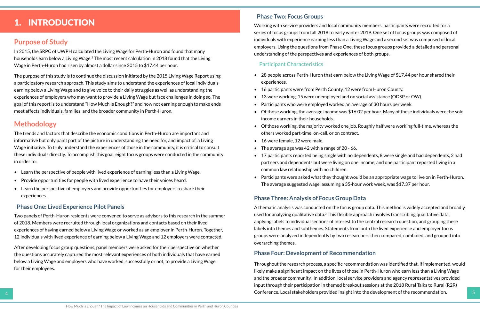• 28 people across Perth-Huron that earn below the Living Wage of \$17.44 per hour shared their

# <span id="page-3-0"></span>1. INTRODUCTION

#### **Purpose of Study**

In 2015, the SRPC of UWPH calculated the Living Wage for Perth-Huron and found that many households earn below a Living Wage.2 The most recent calculation in 2018 found that the Living Wage in Perth-Huron had risen by almost a dollar since 2015 to \$17.44 per hour.

The purpose of this study is to continue the discussion initiated by the 2015 Living Wage Report using a participatory research approach. This study aims to understand the experiences of local individuals earning below a Living Wage and to give voice to their daily struggles as well as understanding the experiences of employers who may want to provide a Living Wage but face challenges in doing so. The goal of this report is to understand "How Much Is Enough?" and how not earning enough to make ends meet affects individuals, families, and the broader community in Perth-Huron.

#### **Methodology**

The trends and factors that describe the economic conditions in Perth-Huron are important and informative but only paint part of the picture in understanding the need for, and impact of, a Living Wage initiative. To truly understand the experiences of those in the community, it is critical to consult these individuals directly. To accomplish this goal, eight focus groups were conducted in the community in order to:

- Learn the perspective of people with lived experience of earning less than a Living Wage.
- Provide opportunities for people with lived experience to have their voices heard.
- Learn the perspective of employers and provide opportunities for employers to share their experiences.

#### **Phase One: Lived Experience Pilot Panels**

Two panels of Perth-Huron residents were convened to serve as advisors to this research in the summer of 2018. Members were recruited through local organizations and contacts based on their lived experiences of having earned below a Living Wage or worked as an employer in Perth-Huron. Together, 12 individuals with lived experience of earning below a Living Wage and 12 employers were contacted.

After developing focus group questions, panel members were asked for their perspective on whether the questions accurately captured the most relevant experiences of both individuals that have earned below a Living Wage and employers who have worked, successfully or not, to provide a Living Wage for their employees.

#### **Phase Two: Focus Groups**

 $4$   $\blacksquare$   $\blacksquare$   $\blacksquare$   $\blacksquare$   $\blacksquare$   $\blacksquare$   $\blacksquare$   $\blacksquare$   $\blacksquare$   $\blacksquare$   $\blacksquare$   $\blacksquare$   $\blacksquare$   $\blacksquare$   $\blacksquare$   $\blacksquare$   $\blacksquare$   $\blacksquare$   $\blacksquare$   $\blacksquare$   $\blacksquare$   $\blacksquare$   $\blacksquare$   $\blacksquare$   $\blacksquare$   $\blacksquare$   $\blacksquare$   $\blacksquare$   $\blacksquare$   $\blacksquare$   $\blacksquare$  Throughout the research process, a specific recommendation was identified that, if implemented, would likely make a significant impact on the lives of those in Perth-Huron who earn less than a Living Wage and the broader community. In addition, local service providers and agency representatives provided input through their participation in themed breakout sessions at the 2018 Rural Talks to Rural (R2R)

Working with service providers and local community members, participants were recruited for a series of focus groups from fall 2018 to early winter 2019. One set of focus groups was composed of individuals with experience earning less than a Living Wage and a second set was composed of local employers. Using the questions from Phase One, these focus groups provided a detailed and personal understanding of the perspectives and experiences of both groups.

#### Participant Characteristics

• Of those working, the average income was \$16.02 per hour. Many of these individuals were the sole

• Of those working, the majority worked one job. Roughly half were working full-time, whereas the

- experiences.
- 16 participants were from Perth County, 12 were from Huron County.
- 13 were working, 15 were unemployed and on social assistance (ODSP or OW).
- Participants who were employed worked an average of 30 hours per week.
- income earners in their households.
- others worked part-time, on-call, or on contract.
- 16 were female, 12 were male.
- The average age was 42 with a range of 20 66.
- common law relationship with no children.
- The average suggested wage, assuming a 35-hour work week, was \$17.37 per hour.

• 17 participants reported being single with no dependents, 8 were single and had dependents, 2 had partners and dependents but were living on one income, and one participant reported living in a

• Participants were asked what they thought would be an appropriate wage to live on in Perth-Huron.

#### **Phase Three: Analysis of Focus Group Data**

A thematic analysis was conducted on the focus group data. This method is widely accepted and broadly used for analyzing qualitative data.<sup>3</sup> This flexible approach involves transcribing qualitative data, applying labels to individual sections of interest to the central research question, and grouping these labels into themes and subthemes. Statements from both the lived experience and employer focus groups were analyzed independently by two researchers then compared, combined, and grouped into overarching themes.

#### **Phase Four: Development of Recommendation**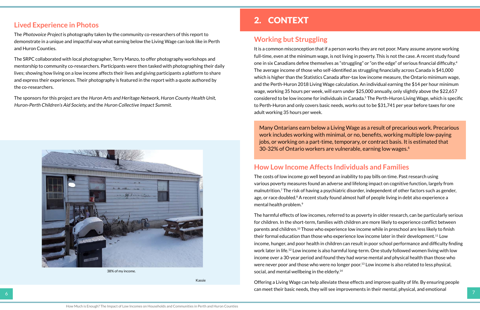#### <span id="page-4-0"></span>**Lived Experience in Photos**

The Photovoice Project is photography taken by the community co-researchers of this report to demonstrate in a unique and impactful way what earning below the Living Wage can look like in Perth and Huron Counties.

The SRPC collaborated with local photographer, Terry Manzo, to offer photography workshops and mentorship to community co-researchers. Participants were then tasked with photographing their daily lives; showing how living on a low income affects their lives and giving participants a platform to share and express their experiences. Their photography is featured in the report with a quote authored by the co-researchers.

The sponsors for this project are the Huron Arts and Heritage Network, Huron County Health Unit, Huron-Perth Children's Aid Society, and the Huron Collective Impact Summit.

# 2. CONTEXT

#### **Working but Struggling**

The harmful effects of low incomes, referred to as poverty in older research, can be particularly serious for children. In the short-term, families with children are more likely to experience conflict between parents and children.10 Those who experience low income while in preschool are less likely to finish their formal education than those who experience low income later in their development.11 Low income, hunger, and poor health in children can result in poor school performance and difficulty finding work later in life.12 Low income is also harmful long-term. One study followed women living with low income over a 30-year period and found they had worse mental and physical health than those who were never poor and those who were no longer poor.<sup>13</sup> Low income is also related to less physical, social, and mental wellbeing in the elderly.<sup>14</sup>

It is a common misconception that if a person works they are not poor. Many assume anyone working full-time, even at the minimum wage, is not living in poverty. This is not the case. A recent study found one in six Canadians define themselves as "struggling" or "on the edge" of serious financial difficulty.<sup>4</sup> The average income of those who self-identified as struggling financially across Canada is \$41,000 which is higher than the Statistics Canada after-tax low income measure, the Ontario minimum wage, and the Perth-Huron 2018 Living Wage calculation. An individual earning the \$14 per hour minimum wage, working 35 hours per week, will earn under \$25,000 annually, only slightly above the \$22,657 considered to be low income for individuals in Canada.5 The Perth-Huron Living Wage, which is specific to Perth-Huron and only covers basic needs, works out to be \$31,741 per year before taxes for one adult working 35 hours per week.

6 7 Offering a Living Wage can help alleviate these effects and improve quality of life. By ensuring people can meet their basic needs, they will see improvements in their mental, physical, and emotional

### **How Low Income Affects Individuals and Families**

The costs of low income go well beyond an inability to pay bills on time. Past research using various poverty measures found an adverse and lifelong impact on cognitive function, largely from malnutrition.7 The risk of having a psychiatric disorder, independent of other factors such as gender, age, or race doubled.<sup>8</sup> A recent study found almost half of people living in debt also experience a mental health problem.9

Many Ontarians earn below a Living Wage as a result of precarious work. Precarious work includes working with minimal, or no, benefits, working multiple low-paying jobs, or working on a part-time, temporary, or contract basis. It is estimated that 30-32% of Ontario workers are vulnerable, earning low wages.6



38% of my income.

Kassie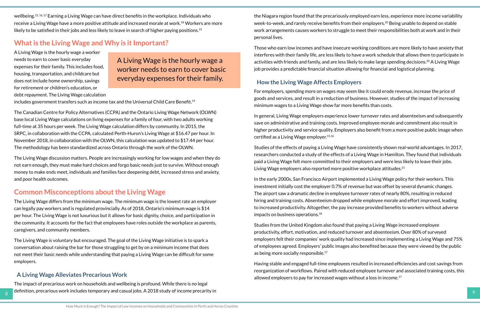<span id="page-5-0"></span>wellbeing.15, 16, 17 Earning a Living Wage can have direct benefits in the workplace. Individuals who receive a Living Wage have a more positive attitude and increased morale at work.18 Workers are more likely to be satisfied in their jobs and less likely to leave in search of higher paying positions.<sup>15</sup>

### **What is the Living Wage and Why is it Important?**

A Living Wage is the hourly wage a worker needs to earn to cover basic everyday expenses for their family. This includes food, housing, transportation, and childcare but does not include home ownership, savings for retirement or children's education, or debt repayment. The Living Wage calculation

The Canadian Centre for Policy Alternatives (CCPA) and the Ontario Living Wage Network (OLWN) base local Living Wage calculations on living expenses for a family of four, with two adults working full-time at 35 hours per week. The Living Wage calculation differs by community. In 2015, the SRPC, in collaboration with the CCPA, calculated Perth-Huron's Living Wage at \$16.47 per hour. In November 2018, in collaboration with the OLWN, this calculation was updated to \$17.44 per hour. The methodology has been standardized across Ontario through the work of the OLWN.

Bundefinition, precarious work includes temporary and casual jobs. A 2018 study of income precarity in and the study of income precarity in the study of income precarity in the study of income precarity in the study of inc The impact of precarious work on households and wellbeing is profound. While there is no legal

The Living Wage discussion matters. People are increasingly working for low wages and when they do not earn enough, they must make hard choices and forgo basic needs just to survive. Without enough money to make ends meet, individuals and families face deepening debt, increased stress and anxiety, and poor health outcomes.

#### **Common Misconceptions about the Living Wage**

In general, Living Wage employers experience lower turnover rates and absenteeism and subsequently save on administrative and training costs. Improved employee morale and commitment also result in higher productivity and service quality. Employers also benefit from a more positive public image when certified as a Living Wage employer.<sup>15,16</sup>

The Living Wage differs from the minimum wage. The minimum wage is the lowest rate an employer can legally pay workers and is regulated provincially. As of 2018, Ontario's minimum wage is \$14 per hour. The Living Wage is not luxurious but it allows for basic dignity, choice, and participation in the community. It accounts for the fact that employees have roles outside the workplace as parents, caregivers, and community members.

Studies of the effects of paying a Living Wage have consistently shown real-world advantages. In 2017, researchers conducted a study of the effects of a Living Wage in Hamilton. They found that individuals paid a Living Wage felt more committed to their employers and were less likely to leave their jobs. Living Wage employers also reported more positive workplace attitudes.<sup>21</sup>

In the early 2000s, San Francisco Airport implemented a Living Wage policy for their workers. This investment initially cost the employer 0.7% of revenue but was offset by several dynamic changes. The airport saw a dramatic decline in employee turnover rates of nearly 80%, resulting in reduced hiring and training costs. Absenteeism dropped while employee morale and effort improved, leading to increased productivity. Altogether, the pay increase provided benefits to workers without adverse impacts on business operations.<sup>18</sup>

The Living Wage is voluntary but encouraged. The goal of the Living Wage initiative is to spark a conversation about raising the bar for those struggling to get by on a minimum income that does not meet their basic needs while understanding that paying a Living Wage can be difficult for some employers.

Studies from the United Kingdom also found that paying a Living Wage increased employee productivity, effort, motivation, and reduced turnover and absenteeism. Over 80% of surveyed employers felt their companies' work quality had increased since implementing a Living Wage and 75% of employees agreed. Employers' public images also benefited because they were viewed by the public as being more socially responsible.<sup>17</sup>

#### **A Living Wage Alleviates Precarious Work**

Having stable and engaged full-time employees resulted in increased efficiencies and cost savings from reorganization of workflows. Paired with reduced employee turnover and associated training costs, this allowed employers to pay for increased wages without a loss in income. $17$ 

the Niagara region found that the precariously employed earn less, experience more income variability week-to-week, and rarely receive benefits from their employers.<sup>20</sup> Being unable to depend on stable work arrangements causes workers to struggle to meet their responsibilities both at work and in their personal lives.

Those who earn low incomes and have insecure working conditions are more likely to have anxiety that interferes with their family life, are less likely to have a work schedule that allows them to participate in activities with friends and family, and are less likely to make large spending decisions.<sup>20</sup> A Living Wage job provides a predictable financial situation allowing for financial and logistical planning.

#### **How the Living Wage Affects Employers**

For employers, spending more on wages may seem like it could erode revenue, increase the price of goods and services, and result in a reduction of business. However, studies of the impact of increasing minimum wages to a Living Wage show far more benefits than costs.

A Living Wage is the hourly wage a worker needs to earn to cover basic everyday expenses for their family.

includes government transfers such as income tax and the Universal Child Care Benefit.<sup>19</sup>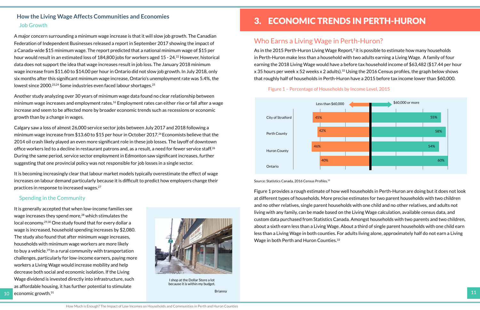A major concern surrounding a minimum wage increase is that it will slow job growth. The Canadian Federation of Independent Businesses released a report in September 2017 showing the impact of a Canada-wide \$15 minimum wage. The report predicted that a national minimum wage of \$15 per hour would result in an estimated loss of 184,800 jobs for workers aged 15 - 24.<sup>22</sup> However, historical data does not support the idea that wage increases result in job loss. The January 2018 minimum wage increase from \$11.60 to \$14.00 per hour in Ontario did not slow job growth. In July 2018, only six months after this significant minimum wage increase, Ontario's unemployment rate was 5.4%, the lowest since 2000.<sup>23,24</sup> Some industries even faced labour shortages.<sup>25</sup>

#### <span id="page-6-0"></span>**How the Living Wage Affects Communities and Economies** Job Growth

Another study analyzing over 30 years of minimum wage data found no clear relationship between minimum wage increases and employment rates.16 Employment rates can either rise or fall after a wage increase and seem to be affected more by broader economic trends such as recessions or economic growth than by a change in wages.

Calgary saw a loss of almost 26,000 service sector jobs between July 2017 and 2018 following a minimum wage increase from \$13.60 to \$15 per hour in October 2017.26 Economists believe that the 2014 oil crash likely played an even more significant role in these job losses. The layoff of downtown office workers led to a decline in restaurant patrons and, as a result, a need for fewer service staff.<sup>26</sup> During the same period, service sector employment in Edmonton saw significant increases, further suggesting that one provincial policy was not responsible for job losses in a single sector.

As in the 2015 Perth-Huron Living Wage Report,<sup>2</sup> it is possible to estimate how many households in Perth-Huron make less than a household with two adults earning a Living Wage. A family of four earning the 2018 Living Wage would have a before tax household income of \$63,482 (\$17.44 per hour x 35 hours per week x 52 weeks x 2 adults).<sup>32</sup> Using the 2016 Census profiles, the graph below shows that roughly half of households in Perth-Huron have a 2015 before tax income lower than \$60,000.

It is becoming increasingly clear that labour market models typically overestimate the effect of wage increases on labour demand particularly because it is difficult to predict how employers change their practices in response to increased wages.27

#### Spending in the Community

10 economic growth.<sup>31</sup> and the set of the set of the set of the set of the set of the set of the set of the set of the set of the set of the set of the set of the set of the set of the set of the set of the set of the set It is generally accepted that when low-income families see wage increases they spend more,<sup>28</sup> which stimulates the local economy.29,30 One study found that for every dollar a wage is increased, household spending increases by \$2,080. The study also found that after minimum wage increases, households with minimum wage workers are more likely to buy a vehicle.29 In a rural community with transportation challenges, particularly for low-income earners, paying more workers a Living Wage would increase mobility and help decrease both social and economic isolation. If the Living Wage dividend is invested directly into infrastructure, such as affordable housing, it has further potential to stimulate economic growth. $31$ 

# Less than  $$60,000$ 55% 58% 54% 60%

# 3. ECONOMIC TRENDS IN PERTH-HURON

## Who Earns a Living Wage in Perth-Huron?

#### Figure 1 – Percentage of Households by Income Level, 2015

Source: Statistics Canada, 2016 Census Profiles.<sup>33</sup>

Figure 1 provides a rough estimate of how well households in Perth-Huron are doing but it does not look at different types of households. More precise estimates for two parent households with two children and no other relatives, single parent households with one child and no other relatives, and adults not living with any family, can be made based on the Living Wage calculation, available census data, and custom data purchased from Statistics Canada. Amongst households with two parents and two children, about a sixth earn less than a Living Wage. About a third of single parent households with one child earn less than a Living Wage in both counties. For adults living alone, approximately half do not earn a Living Wage in both Perth and Huron Counties.33





I shop at the Dollar Store a lot because it is within my budget.

Brianna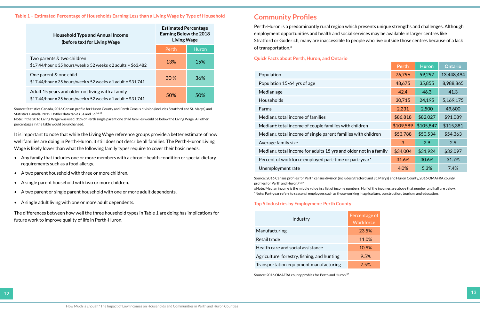#### <span id="page-7-0"></span>**Table 1 – Estimated Percentage of Households Earning Less than a Living Wage by Type of Household**

Source: Statistics Canada, 2016 Census profile for Huron County and Perth Census division (includes Stratford and St. Marys) and Statistics Canada, 2015 Taxfiler data tables 5a and 5b.<sup>34, 35</sup>

| <b>Household Type and Annual Income</b><br>(before tax) for Living Wage                                            | <b>Estimated Percentage</b><br><b>Earning Below the 2018</b><br><b>Living Wage</b> |       |
|--------------------------------------------------------------------------------------------------------------------|------------------------------------------------------------------------------------|-------|
|                                                                                                                    | Perth                                                                              | Huron |
| Two parents & two children<br>\$17.44/hour x 35 hours/week x 52 weeks x 2 adults = $$63,482$                       | 13%                                                                                | 15%   |
| One parent & one child<br>\$17.44/hour x 35 hours/week x 52 weeks x 1 adult = $$31,741$                            | 30%                                                                                | 36%   |
| Adult 15 years and older not living with a family<br>\$17.44/hour x 35 hours/week x 52 weeks x 1 adult = $$31,741$ | 50%                                                                                | 50%   |

Note: If the 2016 Living Wage was used, 31% of Perth single parent one child families would be below the Living Wage. All other percentages in the table would be unchanged.

It is important to note that while the Living Wage reference groups provide a better estimate of how well families are doing in Perth-Huron, it still does not describe all families. The Perth-Huron Living Wage is likely lower than what the following family types require to cover their basic needs:

- Any family that includes one or more members with a chronic health condition or special dietary requirements such as a food allergy.
- A two parent household with three or more children.
- A single parent household with two or more children.
- A two parent or single parent household with one or more adult dependents.
- A single adult living with one or more adult dependents.

The differences between how well the three household types in Table 1 are doing has implications for future work to improve quality of life in Perth-Huron.

#### **Community Profiles**

Perth-Huron is a predominantly rural region which presents unique strengths and challenges. Although employment opportunities and health and social services may be available in larger centres like Stratford or Goderich, many are inaccessible to people who live outside those centres because of a lack of transportation.3

#### **Quick Facts about Perth, Huron, and Ontario**

|                                                                                                                                                                                                                                                                                                                                                                                                                                            | Perth     | <b>Huron</b> | <b>Ontario</b> |
|--------------------------------------------------------------------------------------------------------------------------------------------------------------------------------------------------------------------------------------------------------------------------------------------------------------------------------------------------------------------------------------------------------------------------------------------|-----------|--------------|----------------|
| Population                                                                                                                                                                                                                                                                                                                                                                                                                                 | 76,796    | 59,297       | 13,448,494     |
| Population 15-64 yrs of age                                                                                                                                                                                                                                                                                                                                                                                                                | 48,675    | 35,855       | 8,988,865      |
| Median age                                                                                                                                                                                                                                                                                                                                                                                                                                 | 42.4      | 46.3         | 41.3           |
| <b>Households</b>                                                                                                                                                                                                                                                                                                                                                                                                                          | 30,715    | 24,195       | 5,169,175      |
| Farms                                                                                                                                                                                                                                                                                                                                                                                                                                      | 2,231     | 2,500        | 49,600         |
| Median± total income of families                                                                                                                                                                                                                                                                                                                                                                                                           | \$86,818  | \$82,027     | \$91,089       |
| Median± total income of couple families with children                                                                                                                                                                                                                                                                                                                                                                                      | \$109,589 | \$105,847    | \$115,381      |
| Median± total income of single parent families with children                                                                                                                                                                                                                                                                                                                                                                               | \$53,788  | \$50,534     | \$54,363       |
| Average family size                                                                                                                                                                                                                                                                                                                                                                                                                        | 3         | 2.9          | 2.9            |
| Median± total income for adults 15 yrs and older not in a family                                                                                                                                                                                                                                                                                                                                                                           | \$34,004  | \$31,924     | \$32,097       |
| Percent of workforce employed part-time or part-year*                                                                                                                                                                                                                                                                                                                                                                                      | 31.6%     | 30.6%        | 31.7%          |
| Unemployment rate                                                                                                                                                                                                                                                                                                                                                                                                                          | 4.0%      | 5.3%         | 7.4%           |
| Source: 2016 Census profiles for Perth census division (includes Stratford and St. Marys) and Huron County, 2016 OMAFRA county<br>profiles for Perth and Huron. 34, 37<br>±Note: Median income is the middle value in a list of income numbers. Half of the incomes are above that number and half are below.<br>*Note: Part-year refers to seasonal employees such as those working in agriculture, construction, tourism, and education. |           |              |                |

#### **Top 5 Industries by Employment: Perth County**

| Industry                                    | Percentage of<br>Workforce |
|---------------------------------------------|----------------------------|
| Manufacturing                               | 23.5%                      |
| Retail trade                                | 11.0%                      |
| Health care and social assistance           | 10.9%                      |
| Agriculture, forestry, fishing, and hunting | 9.5%                       |
| Transportation equipment manufacturing      | 7.5%                       |

Source: 2016 OMAFRA county profiles for Perth and Huron.<sup>37</sup>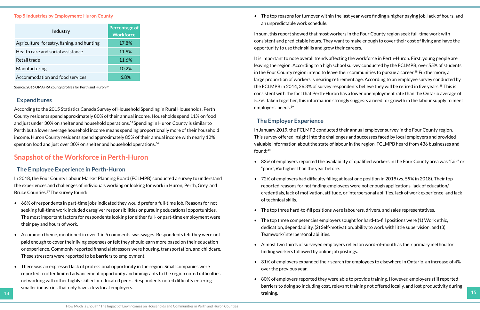#### <span id="page-8-0"></span>**Top 5 Industries by Employment: Huron County**

According to the 2015 Statistics Canada Survey of Household Spending in Rural Households, Perth County residents spend approximately 80% of their annual income. Households spend 11% on food and just under 30% on shelter and household operations.<sup>35</sup> Spending in Huron County is similar to Perth but a lower average household income means spending proportionally more of their household income. Huron County residents spend approximately 85% of their annual income with nearly 12% spent on food and just over 30% on shelter and household operations.<sup>36</sup>

| Industry                                    | <b>Percentage of</b><br><b>Workforce</b> |
|---------------------------------------------|------------------------------------------|
| Agriculture, forestry, fishing, and hunting | 17.8%                                    |
| Health care and social assistance           | 11.9%                                    |
| Retail trade                                | 11.6%                                    |
| Manufacturing                               | 10.2%                                    |
| Accommodation and food services             |                                          |

Source: 2016 OMAFRA county profiles for Perth and Huron.<sup>37</sup>

#### **Expenditures**

### **Snapshot of the Workforce in Perth-Huron**

#### **The Employee Experience in Perth-Huron**

In 2018, the Four County Labour Market Planning Board (FCLMPB) conducted a survey to understand the experiences and challenges of individuals working or looking for work in Huron, Perth, Grey, and Bruce Counties.37 The survey found:

- 66% of respondents in part-time jobs indicated they would prefer a full-time job. Reasons for not seeking full-time work included caregiver responsibilities or pursuing educational opportunities. The most important factors for respondents looking for either full- or part-time employment were their pay and hours of work.
- A common theme, mentioned in over 1 in 5 comments, was wages. Respondents felt they were not paid enough to cover their living expenses or felt they should earn more based on their education or experience. Commonly reported financial stressors were housing, transportation, and childcare. These stressors were reported to be barriers to employment.
- There was an expressed lack of professional opportunity in the region. Small companies were reported to offer limited advancement opportunity and immigrants to the region noted difficulties networking with other highly skilled or educated peers. Respondents noted difficulty entering smaller industries that only have a few local employers.

• The top reasons for turnover within the last year were finding a higher paying job, lack of hours, and

an unpredictable work schedule.

In sum, this report showed that most workers in the Four County region seek full-time work with consistent and predictable hours. They want to make enough to cover their cost of living and have the opportunity to use their skills and grow their careers.

It is important to note overall trends affecting the workforce in Perth-Huron. First, young people are leaving the region. According to a high school survey conducted by the FCLMPB, over 55% of students in the Four County region intend to leave their communities to pursue a career.<sup>38</sup> Furthermore, a large proportion of workers is nearing retirement age. According to an employee survey conducted by the FCLMPB in 2014, 26.3% of survey respondents believe they will be retired in five years.<sup>38</sup> This is consistent with the fact that Perth-Huron has a lower unemployment rate than the Ontario average of 5.7%. Taken together, this information strongly suggests a need for growth in the labour supply to meet employers' needs.39

#### **The Employer Experience**

In January 2019, the FCLMPB conducted their annual employer survey in the Four County region. This survey offered insight into the challenges and successes faced by local employers and provided valuable information about the state of labour in the region. FCLMPB heard from 436 businesses and found:40

• 83% of employers reported the availability of qualified workers in the Four County area was "fair" or

• 72% of employers had difficulty filling at least one position in 2019 (vs. 59% in 2018). Their top reported reasons for not finding employees were not enough applications, lack of education/ credentials, lack of motivation, attitude, or interpersonal abilities, lack of work experience, and lack

- "poor", 6% higher than the year before.
- of technical skills.
- The top three hard-to-fill positions were labourers, drivers, and sales representatives.
- The top three competencies employers sought for hard-to-fill positions were (1) Work ethic, Teamwork/interpersonal abilities.
- finding workers followed by online job postings.
- over the previous year.
- 14 a straining. training.

dedication, dependability, (2) Self-motivation, ability to work with little supervision, and (3)

• Almost two thirds of surveyed employers relied on word-of-mouth as their primary method for

• 31% of employers expanded their search for employees to elsewhere in Ontario, an increase of 4%

• 80% of employers reported they were able to provide training. However, employers still reported barriers to doing so including cost, relevant training not offered locally, and lost productivity during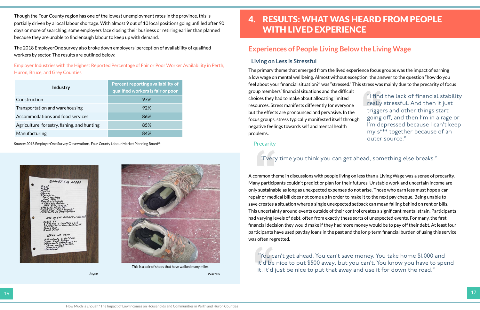4. RESULTS: WHAT WAS HEARD FROM PEOPLE WITH LIVED EXPERIENCE

## **Experiences of People Living Below the Living Wage**

#### **Living on Less is Stressful**

A common theme in discussions with people living on less than a Living Wage was a sense of precarity. Many participants couldn't predict or plan for their futures. Unstable work and uncertain income are only sustainable as long as unexpected expenses do not arise. Those who earn less must hope a car repair or medical bill does not come up in order to make it to the next pay cheque. Being unable to save creates a situation where a single unexpected setback can mean falling behind on rent or bills. This uncertainty around events outside of their control creates a significant mental strain. Participants had varying levels of debt, often from exactly these sorts of unexpected events. For many, the first financial decision they would make if they had more money would be to pay off their debt. At least four participants have used payday loans in the past and the long-term financial burden of using this service was often regretted.

"You can't get ahead. You can't save money. You take home \$1,000 and it'd be nice to put \$500 away, but you can't. You know you have to spend If it. It'd just be nice to put that away and use it for down the road."<br>Varren

The primary theme that emerged from the lived experience focus groups was the impact of earning a low wage on mental wellbeing. Almost without exception, the answer to the question "how do you feel about your financial situation?" was "stressed." This stress was mainly due to the precarity of focus group members' financial situations and the difficult choices they had to make about allocating limited resources. Stress manifests differently for everyone but the effects are pronounced and pervasive. In the focus groups, stress typically manifested itself through negative feelings towards self and mental health problems. "I find the lack of financial stability really stressful. And then it just triggers and other things start going off, and then I'm in a rage or I'm depressed because I can't keep my s\*\*\* together because of an outer source."

#### **Precarity**

<span id="page-9-0"></span>Though the Four County region has one of the lowest unemployment rates in the province, this is partially driven by a local labour shortage. With almost 9 out of 10 local positions going unfilled after 90 days or more of searching, some employers face closing their business or retiring earlier than planned because they are unable to find enough labour to keep up with demand.

The 2018 EmployerOne survey also broke down employers' perception of availability of qualified workers by sector. The results are outlined below:

Employer Industries with the Highest Reported Percentage of Fair or Poor Worker Availability in Perth, Huron, Bruce, and Grey Counties

| <b>Industry</b>                             | Percent reporting availability of<br>qualified workers is fair or poor |
|---------------------------------------------|------------------------------------------------------------------------|
| Construction                                | 97%                                                                    |
| Transportation and warehousing              | 92%                                                                    |
| Accommodations and food services            | 86%                                                                    |
| Agriculture, forestry, fishing, and hunting | 85%                                                                    |
| Manufacturing                               | $A\%$                                                                  |

Source: 2018 EmployerOne Survey Observations, Four County Labour Market Planning Board<sup>38</sup>



#### "Every time you think you can get ahead, something else breaks."



This is a pair of shoes that have walked many miles.

Warren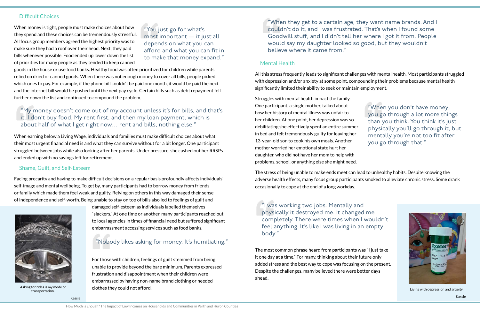#### Mental Health

All this stress frequently leads to significant challenges with mental health. Most participants struggled with depression and/or anxiety at some point, compounding their problems because mental health significantly limited their ability to seek or maintain employment.

Struggles with mental health impact the family. One participant, a single mother, talked about how her history of mental illness was unfair to her children. At one point, her depression was so debilitating she effectively spent an entire summer in bed and felt tremendously guilty for leaving her 13-year-old son to cook his own meals. Another mother worried her emotional state hurt her daughter, who did not have her mom to help with problems, school, or anything else she might need.

The stress of being unable to make ends meet can lead to unhealthy habits. Despite knowing the adverse health effects, many focus group participants smoked to alleviate chronic stress. Some drank occasionally to cope at the end of a long workday.

The most common phrase heard from participants was "I just take it one day at a time." For many, thinking about their future only added stress and the best way to cope was focusing on the present. Despite the challenges, many believed there were better days ahead.

#### Difficult Choices

When money is tight, people must make choices about how they spend and these choices can be tremendously stressful. All focus group members agreed the highest priority was to make sure they had a roof over their head. Next, they paid bills whenever possible. Food ended up lower down the list of priorities for many people as they tended to keep canned

goods in the house or use food banks. Healthy food was often prioritized for children while parents relied on dried or canned goods. When there was not enough money to cover all bills, people picked which ones to pay. For example, if the phone bill couldn't be paid one month, it would be paid the next and the internet bill would be pushed until the next pay cycle. Certain bills such as debt repayment fell further down the list and continued to compound the problem.

 $\frac{1}{2}$  transportation. Living with depression and anxeity.

When earning below a Living Wage, individuals and families must make difficult choices about what their most urgent financial need is and what they can survive without for a bit longer. One participant struggled between jobs while also looking after her parents. Under pressure, she cashed out her RRSPs and ended up with no savings left for retirement.

#### Shame, Guilt, and Self-Esteem

Facing precarity and having to make difficult decisions on a regular basis profoundly affects individuals' self-image and mental wellbeing. To get by, many participants had to borrow money from friends or family which made them feel weak and guilty. Relying on others in this way damaged their sense of independence and self-worth. Being unable to stay on top of bills also led to feelings of guilt and

> damaged self-esteem as individuals labelled themselves "slackers." At one time or another, many participants reached out to local agencies in times of financial need but suffered significant embarrassment accessing services such as food banks.

For those with children, feelings of guilt stemmed from being unable to provide beyond the bare minimum. Parents expressed frustration and disappointment when their children were embarrassed by having non-name brand clothing or needed clothes they could not afford.

"You just go for what's most important — it just all depends on what you can afford and what you can fit in to make that money expand."

#### "My money doesn't come out of my account unless it's for bills, and that's it. I don't buy food. My rent first, and then my loan payment, which is about half of what I get right now… rent and bills, nothing else."

#### "Nobody likes asking for money. It's humiliating."

"When they get to a certain age, they want name brands. And I couldn't do it, and I was frustrated. That's when I found some Goodwill stuff, and I didn't tell her where I got it from. People would say my daughter looked so good, but they wouldn't believe where it came from."

> "When you don't have money, you go through a lot more things than you think. You think it's just physically you'll go through it, but mentally you're not too fit after you go through that."



"I was working two jobs. Mentally and physically it destroyed me. It changed me completely. There were times when I wouldn't feel anything. It's like I was living in an empty body."



Asking for rides is my mode of transportation.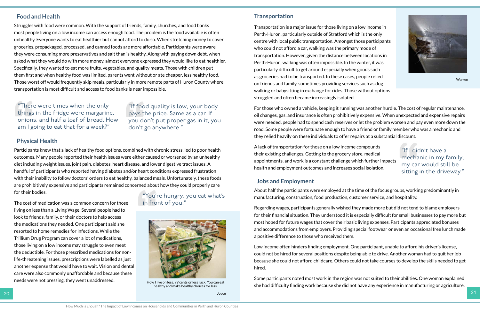

#### **Transportation**

Transportation is a major issue for those living on a low income in Perth-Huron, particularly outside of Stratford which is the only centre with local public transportation. Amongst those participants who could not afford a car, walking was the primary mode of transportation. However, given the distance between locations in Perth-Huron, walking was often impossible. In the winter, it was particularly difficult to get around especially when goods such as groceries had to be transported. In these cases, people relied on friends and family, sometimes providing services such as dog walking or babysitting in exchange for rides. Those without options struggled and often became increasingly isolated.

For those who owned a vehicle, keeping it running was another hurdle. The cost of regular maintenance, oil changes, gas, and insurance is often prohibitively expensive. When unexpected and expensive repairs were needed, people had to spend cash reserves or let the problem worsen and pay even more down the road. Some people were fortunate enough to have a friend or family member who was a mechanic and they relied heavily on these individuals to offer repairs at a substantial discount.

A lack of transportation for those on a low income compounds their existing challenges. Getting to the grocery store, medical appointments, and work is a constant challenge which further impacts health and employment outcomes and increases social isolation.

#### **Jobs and Employment**

About half the participants were employed at the time of the focus groups, working predominantly in manufacturing, construction, food production, customer service, and hospitality.

Regarding wages, participants generally wished they made more but did not tend to blame employers for their financial situation. They understood it is especially difficult for small businesses to pay more but most hoped for future wages that cover their basic living expenses. Participants appreciated bonuses and accommodations from employers. Providing special footwear or even an occasional free lunch made a positive difference to those who received them.

Low income often hinders finding employment. One participant, unable to afford his driver's license, could not be hired for several positions despite being able to drive. Another woman had to quit her job because she could not afford childcare. Others could not take courses to develop the skills needed to get hired.

Some participants noted most work in the region was not suited to their abilities. One woman explained she had difficulty finding work because she did not have any experience in manufacturing or agriculture.

#### **Food and Health**

Struggles with food were common. With the support of friends, family, churches, and food banks most people living on a low income can access enough food. The problem is the food available is often unhealthy. Everyone wants to eat healthier but cannot afford to do so. When stretching money to cover groceries, prepackaged, processed, and canned foods are more affordable. Participants were aware they were consuming more preservatives and salt than is healthy. Along with paying down debt, when asked what they would do with more money, almost everyone expressed they would like to eat healthier. Specifically, they wanted to eat more fruits, vegetables, and quality meats. Those with children put them first and when healthy food was limited, parents went without or ate cheaper, less healthy food. Those worst off would frequently skip meals, particularly in more remote parts of Huron County where transportation is most difficult and access to food banks is near impossible.

#### **Physical Health**

Participants knew that a lack of healthy food options, combined with chronic stress, led to poor health outcomes. Many people reported their health issues were either caused or worsened by an unhealthy diet including weight issues, joint pain, diabetes, heart disease, and lower digestive tract issues. A handful of participants who reported having diabetes and/or heart conditions expressed frustration with their inability to follow doctors' orders to eat healthy, balanced meals. Unfortunately, these foods are prohibitively expensive and participants remained concerned about how they could properly care for their bodies.

The cost of medication was a common concern for those living on less than a Living Wage. Several people had to look to friends, family, or their doctors to help access the medications they needed. One participant said she resorted to home remedies for infections. While the Trillium Drug Program can cover a lot of medications, those living on a low income may struggle to even meet the deductible. For those prescribed medications for nonlife-threatening issues, prescriptions were labelled as just another expense that would have to wait. Vision and dental care were also commonly unaffordable and because these needs were not pressing, they went unaddressed.

"If food quality is low, your body pays the price. Same as a car. If you don't put proper gas in it, you don't go anywhere."

"There were times when the only things in the fridge were margarine, onions, and half a loaf of bread. How am I going to eat that for a week?"

> "You're hungry, you eat what's in front of you."

"If I didn't have a mechanic in my family, my car would still be sitting in the driveway."

Warren



How I live on less. 99 cents or less rack. You can eat healthy and make healthy choices for less.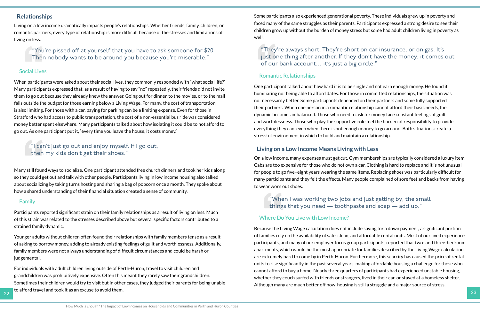Some participants also experienced generational poverty. These individuals grew up in poverty and faced many of the same struggles as their parents. Participants expressed a strong desire to see their children grow up without the burden of money stress but some had adult children living in poverty as well.

#### Romantic Relationships

One participant talked about how hard it is to be single and not earn enough money. He found it humiliating not being able to afford dates. For those in committed relationships, the situation was not necessarily better. Some participants depended on their partners and some fully supported their partners. When one person in a romantic relationship cannot afford their basic needs, the dynamic becomes imbalanced. Those who need to ask for money face constant feelings of guilt and worthlessness. Those who play the supportive role feel the burden of responsibility to provide everything they can, even when there is not enough money to go around. Both situations create a stressful environment in which to build and maintain a relationship.

#### **Living on a Low Income Means Living with Less**

On a low income, many expenses must get cut. Gym memberships are typically considered a luxury item. Cabs are too expensive for those who do not own a car. Clothing is hard to replace and it is not unusual for people to go five–eight years wearing the same items. Replacing shoes was particularly difficult for many participants and they felt the effects. Many people complained of sore feet and backs from having to wear worn out shoes.

#### Where Do You Live with Low Income?

Because the Living Wage calculation does not include saving for a down payment, a significant portion of families rely on the availability of safe, clean, and affordable rental units. Most of our lived experience participants, and many of our employer focus group participants, reported that two- and three-bedroom apartments, which would be the most appropriate for families described by the Living Wage calculation, are extremely hard to come by in Perth-Huron. Furthermore, this scarcity has caused the price of rental units to rise significantly in the past several years, making affordable housing a challenge for those who cannot afford to buy a home. Nearly three quarters of participants had experienced unstable housing, whether they couch surfed with friends or strangers, lived in their car, or stayed at a homeless shelter. Although many are much better off now, housing is still a struggle and a major source of stress.

 $\frac{1}{22}$  to anotal travel and took it as an excuse to avoid them. For individuals with adult children living outside of Perth-Huron, travel to visit children and grandchildren was prohibitively expensive. Often this meant they rarely saw their grandchildren. Sometimes their children would try to visit but in other cases, they judged their parents for being unable to afford travel and took it as an excuse to avoid them.

#### **Relationships**

Living on a low income dramatically impacts people's relationships. Whether friends, family, children, or romantic partners, every type of relationship is more difficult because of the stresses and limitations of living on less.

#### Social Lives

When participants were asked about their social lives, they commonly responded with "what social life?" Many participants expressed that, as a result of having to say "no" repeatedly, their friends did not invite them to go out because they already knew the answer. Going out for dinner, to the movies, or to the mall falls outside the budget for those earning below a Living Wage. For many, the cost of transportation is also limiting. For those with a car, paying for parking can be a limiting expense. Even for those in Stratford who had access to public transportation, the cost of a non-essential bus ride was considered money better spent elsewhere. Many participants talked about how isolating it could be to not afford to go out. As one participant put it, "every time you leave the house, it costs money."

Many still found ways to socialize. One participant attended free church dinners and took her kids along so they could get out and talk with other people. Participants living in low income housing also talked about socializing by taking turns hosting and sharing a bag of popcorn once a month. They spoke about how a shared understanding of their financial situation created a sense of community.

#### Family

Participants reported significant strain on their family relationships as a result of living on less. Much of this strain was related to the stresses described above but several specific factors contributed to a strained family dynamic.

Younger adults without children often found their relationships with family members tense as a result of asking to borrow money, adding to already existing feelings of guilt and worthlessness. Additionally, family members were not always understanding of difficult circumstances and could be harsh or judgemental.

"You're pissed off at yourself that you have to ask someone for \$20. Then nobody wants to be around you because you're miserable."

"They're always short. They're short on car insurance, or on gas. It's just one thing after another. If they don't have the money, it comes out of our bank account… it's just a big circle."

#### "I can't just go out and enjoy myself. If I go out, then my kids don't get their shoes."

"When I was working two jobs and just getting by, the small things that you need — toothpaste and soap — add up."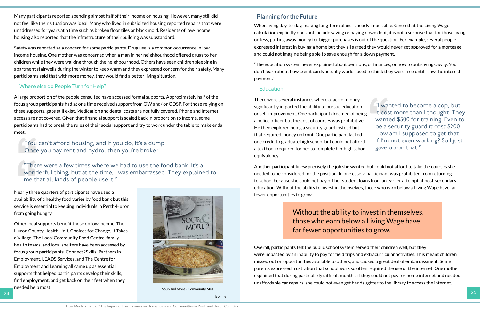Many participants reported spending almost half of their income on housing. However, many still did not feel like their situation was ideal. Many who lived in subsidized housing reported repairs that were unaddressed for years at a time such as broken floor tiles or black mold. Residents of low-income housing also reported that the infrastructure of their building was substandard.

Safety was reported as a concern for some participants. Drug use is a common occurrence in low income housing. One mother was concerned when a man in her neighbourhood offered drugs to her children while they were walking through the neighbourhood. Others have seen children sleeping in apartment stairwells during the winter to keep warm and they expressed concern for their safety. Many participants said that with more money, they would find a better living situation.

Nearly three quarters of participants have used a availability of a healthy food varies by food bank but this service is essential to keeping individuals in Perth-Huron from going hungry.

#### Where else do People Turn for Help?

A large proportion of the people consulted have accessed formal supports. Approximately half of the focus group participants had at one time received support from OW and/ or ODSP. For those relying on these supports, gaps still exist. Medication and dental costs are not fully covered. Phone and internet access are not covered. Given that financial support is scaled back in proportion to income, some participants had to break the rules of their social support and try to work under the table to make ends meet.

Other local supports benefit those on low income. The Huron County Health Unit, Choices for Change, It Takes a Village, The Local Community Food Centre, family health teams, and local shelters have been accessed by focus group participants. Connect2Skills, Partners in Employment, LEADS Services, and The Centre for Employment and Learning all came up as essential supports that helped participants develop their skills, find employment, and get back on their feet when they needed help most.

#### **Planning for the Future**

When living day-to-day, making long-term plans is nearly impossible. Given that the Living Wage calculation explicitly does not include saving or paying down debt, it is not a surprise that for those living on less, putting away money for bigger purchases is out of the question. For example, several people expressed interest in buying a home but they all agreed they would never get approved for a mortgage and could not imagine being able to save enough for a down payment.



24 25 Soup and More - Community Meal

"The education system never explained about pensions, or finances, or how to put savings away. You don't learn about how credit cards actually work. I used to think they were free until I saw the interest payment."

#### Education

There were several instances where a lack of money significantly impacted the ability to pursue education or self-improvement. One participant dreamed of being a police officer but the cost of courses was prohibitive. He then explored being a security guard instead but that required money up front. One participant lacked one credit to graduate high school but could not afford a textbook required for her to complete her high school equivalency.

Another participant knew precisely the job she wanted but could not afford to take the courses she needed to be considered for the position. In one case, a participant was prohibited from returning to school because she could not pay off her student loans from an earlier attempt at post-secondary education. Without the ability to invest in themselves, those who earn below a Living Wage have far fewer opportunities to grow.

Overall, participants felt the public school system served their children well, but they were impacted by an inability to pay for field trips and extracurricular activities. This meant children missed out on opportunities available to others, and caused a great deal of embarrassment. Some parents expressed frustration that school work so often required the use of the internet. One mother explained that during particularly difficult months, if they could not pay for home internet and needed unaffordable car repairs, she could not even get her daughter to the library to access the internet.

"You can't afford housing, and if you do, it's a dump. Once you pay rent and hydro, then you're broke."

"There were a few times where we had to use the food bank. It's a wonderful thing, but at the time, I was embarrassed. They explained to me that all kinds of people use it."

"I wanted to become a cop, but it cost more than I thought. They wanted \$500 for training. Even to be a security guard it cost \$200. How am I supposed to get that if I'm not even working? So I just gave up on that."

Bonnie

Without the ability to invest in themselves, those who earn below a Living Wage have

# far fewer opportunities to grow.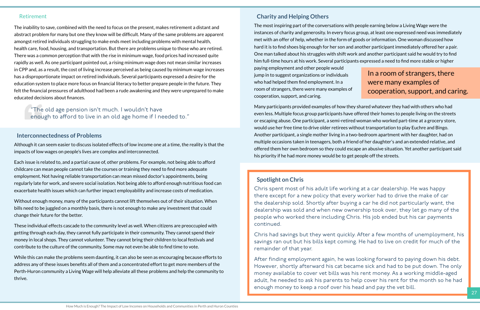#### Retirement

The inability to save, combined with the need to focus on the present, makes retirement a distant and abstract problem for many but one they know will be difficult. Many of the same problems are apparent amongst retired individuals struggling to make ends meet including problems with mental health, health care, food, housing, and transportation. But there are problems unique to those who are retired. There was a common perception that with the rise in minimum wage, food prices had increased quite rapidly as well. As one participant pointed out, a rising minimum wage does not mean similar increases in CPP and, as a result, the cost of living increase perceived as being caused by minimum wage increases has a disproportionate impact on retired individuals. Several participants expressed a desire for the education system to place more focus on financial literacy to better prepare people in the future. They felt the financial pressures of adulthood had been a rude awakening and they were unprepared to make educated decisions about finances.

#### **Interconnectedness of Problems**

Although it can seem easier to discuss isolated effects of low income one at a time, the reality is that the impacts of low wages on people's lives are complex and interconnected.

Each issue is related to, and a partial cause of, other problems. For example, not being able to afford childcare can mean people cannot take the courses or training they need to find more adequate employment. Not having reliable transportation can mean missed doctor's appointments, being regularly late for work, and severe social isolation. Not being able to afford enough nutritious food can exacerbate health issues which can further impact employability and increase costs of medication.

Without enough money, many of the participants cannot lift themselves out of their situation. When bills need to be juggled on a monthly basis, there is not enough to make any investment that could change their future for the better.

These individual effects cascade to the community level as well. When citizens are preoccupied with getting through each day, they cannot fully participate in their community. They cannot spend their money in local shops. They cannot volunteer. They cannot bring their children to local festivals and contribute to the culture of the community. Some may not even be able to find time to vote.

While this can make the problems seem daunting, it can also be seen as encouraging because efforts to address any of these issues benefits all of them and a concentrated effort to get more members of the Perth-Huron community a Living Wage will help alleviate all these problems and help the community to thrive.

 $\blacksquare$  . The contract of the contract of the contract of the contract of the contract of the contract of the contract of the contract of the contract of the contract of the contract of the contract of the contract of the After finding employment again, he was looking forward to paying down his debt. However, shortly afterward his cat became sick and had to be put down. The only money available to cover vet bills was his rent money. As a working middle-aged adult, he needed to ask his parents to help cover his rent for the month so he had enough money to keep a roof over his head and pay the vet bill.

#### **Charity and Helping Others**

Many participants provided examples of how they shared whatever they had with others who had even less. Multiple focus group participants have offered their homes to people living on the streets or escaping abuse. One participant, a semi-retired woman who worked part-time at a grocery store, would use her free time to drive older retirees without transportation to play Euchre and Bingo. Another participant, a single mother living in a two-bedroom apartment with her daughter, had on multiple occasions taken in teenagers, both a friend of her daughter's and an extended relative, and offered them her own bedroom so they could escape an abusive situation. Yet another participant said his priority if he had more money would be to get people off the streets.

The most inspiring part of the conversations with people earning below a Living Wage were the instances of charity and generosity. In every focus group, at least one expressed need was immediately met with an offer of help, whether in the form of goods or information. One woman discussed how hard it is to find shoes big enough for her son and another participant immediately offered her a pair. One man talked about his struggles with shift work and another participant said he would try to find him full-time hours at his work. Several participants expressed a need to find more stable or higher paying employment and other people would jump in to suggest organizations or individuals who had helped them find employment. In a room of strangers, there were many examples of cooperation, support, and caring. In a room of strangers, there were many examples of

#### **Spotlight on Chris**

Chris spent most of his adult life working at a car dealership. He was happy there except for a new policy that every worker had to drive the make of car the dealership sold. Shortly after buying a car he did not particularly want, the dealership was sold and when new ownership took over, they let go many of the people who worked there including Chris. His job ended but his car payments continued.

Chris had savings but they went quickly. After a few months of unemployment, his savings ran out but his bills kept coming. He had to live on credit for much of the remainder of that year.

"The old age pension isn't much. I wouldn't have enough to afford to live in an old age home if I needed to."

# cooperation, support, and caring.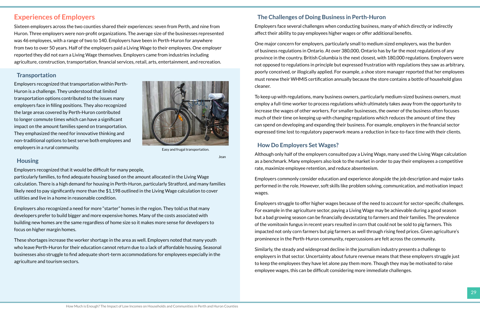#### <span id="page-15-0"></span>**Experiences of Employers**

Sixteen employers across the two counties shared their experiences: seven from Perth, and nine from Huron. Three employers were non-profit organizations. The average size of the businesses represented was 46 employees, with a range of two to 140. Employers have been in Perth-Huron for anywhere from two to over 50 years. Half of the employers paid a Living Wage to their employees. One employer reported they did not earn a Living Wage themselves. Employers came from industries including agriculture, construction, transportation, financial services, retail, arts, entertainment, and recreation.

#### **Transportation**

Employers recognized that transportation within Perth-Huron is a challenge. They understood that limited transportation options contributed to the issues many employers face in filling positions. They also recognized the large areas covered by Perth-Huron contributed to longer commute times which can have a significant impact on the amount families spend on transportation. They emphasized the need for innovative thinking and non-traditional options to best serve both employees and employers in a rural community.

#### **Housing**

Employers recognized that it would be difficult for many people,

particularly families, to find adequate housing based on the amount allocated in the Living Wage calculation. There is a high demand for housing in Perth-Huron, particularly Stratford, and many families likely need to pay significantly more than the \$1,198 outlined in the Living Wage calculation to cover utilities and live in a home in reasonable condition.

Employers also recognized a need for more "starter" homes in the region. They told us that many developers prefer to build bigger and more expensive homes. Many of the costs associated with building new homes are the same regardless of home size so it makes more sense for developers to focus on higher margin homes.

These shortages increase the worker shortage in the area as well. Employers noted that many youth who leave Perth-Huron for their education cannot return due to a lack of affordable housing. Seasonal businesses also struggle to find adequate short-term accommodations for employees especially in the agriculture and tourism sectors.

#### **The Challenges of Doing Business in Perth-Huron**

Employers face several challenges when conducting business, many of which directly or indirectly affect their ability to pay employees higher wages or offer additional benefits.

One major concern for employers, particularly small to medium sized employers, was the burden of business regulations in Ontario. At over 380,000, Ontario has by far the most regulations of any province in the country. British Columbia is the next closest, with 180,000 regulations. Employers were not opposed to regulations in principle but expressed frustration with regulations they saw as arbitrary, poorly conceived, or illogically applied. For example, a shoe store manager reported that her employees must renew their WHMIS certification annually because the store contains a bottle of household glass cleaner.

To keep up with regulations, many business owners, particularly medium-sized business owners, must employ a full-time worker to process regulations which ultimately takes away from the opportunity to increase the wages of other workers. For smaller businesses, the owner of the business often focuses much of their time on keeping up with changing regulations which reduces the amount of time they can spend on developing and expanding their business. For example, employers in the financial sector expressed time lost to regulatory paperwork means a reduction in face-to-face time with their clients.

#### **How Do Employers Set Wages?**

Although only half of the employers consulted pay a Living Wage, many used the Living Wage calculation as a benchmark. Many employers also look to the market in order to pay their employees a competitive rate, maximize employee retention, and reduce absenteeism.

Employers commonly consider education and experience alongside the job description and major tasks performed in the role. However, soft skills like problem solving, communication, and motivation impact wages.

Employers struggle to offer higher wages because of the need to account for sector-specific challenges. For example in the agriculture sector, paying a Living Wage may be achievable during a good season but a bad growing season can be financially devastating to farmers and their families. The prevalence of the vomitoxin fungus in recent years resulted in corn that could not be sold to pig farmers. This impacted not only corn farmers but pig farmers as well through rising feed prices. Given agriculture's prominence in the Perth-Huron community, repercussions are felt across the community.

Similarly, the steady and widespread decline in the journalism industry presents a challenge to employers in that sector. Uncertainty about future revenue means that these employers struggle just to keep the employees they have let alone pay them more. Though they may be motivated to raise employee wages, this can be difficult considering more immediate challenges.



Easy and frugal transportation.

Jean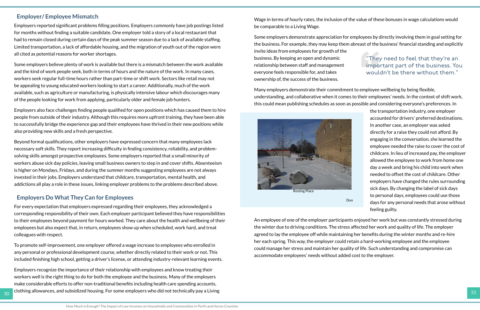#### **Employer/ Employee Mismatch**

Employers reported significant problems filling positions. Employers commonly have job postings listed for months without finding a suitable candidate. One employer told a story of a local restaurant that had to remain closed during certain days of the peak summer season due to a lack of available staffing. Limited transportation, a lack of affordable housing, and the migration of youth out of the region were all cited as potential reasons for worker shortages.

Some employers believe plenty of work is available but there is a mismatch between the work available and the kind of work people seek, both in terms of hours and the nature of the work. In many cases, workers seek regular full-time hours rather than part-time or shift work. Sectors like retail may not be appealing to young educated workers looking to start a career. Additionally, much of the work available, such as agriculture or manufacturing, is physically intensive labour which discourages many of the people looking for work from applying, particularly older and female job hunters.

Employers also face challenges finding people qualified for open positions which has caused them to hire people from outside of their industry. Although this requires more upfront training, they have been able to successfully bridge the experience gap and their employees have thrived in their new positions while also providing new skills and a fresh perspective.

 $30$  clothing allowances, and subsidized housing. For some employers who did not technically pay a Living  $31$ Employers recognize the importance of their relationship with employees and know treating their workers well is the right thing to do for both the employee and the business. Many of the employers make considerable efforts to offer non-traditional benefits including health care spending accounts,

Beyond formal qualifications, other employers have expressed concern that many employees lack necessary soft skills. They report increasing difficulty in finding consistency, reliability, and problemsolving skills amongst prospective employees. Some employers reported that a small minority of workers abuse sick day policies, leaving small business owners to step in and cover shifts. Absenteeism is higher on Mondays, Fridays, and during the summer months suggesting employees are not always invested in their jobs. Employers understand that childcare, transportation, mental health, and addictions all play a role in these issues, linking employer problems to the problems described above.

#### **Employers Do What They Can for Employees**

For every expectation that employers expressed regarding their employees, they acknowledged a corresponding responsibility of their own. Each employer participant believed they have responsibilities to their employees beyond payment for hours worked. They care about the health and wellbeing of their employees but also expect that, in return, employees show up when scheduled, work hard, and treat colleagues with respect.

To promote self-improvement, one employer offered a wage increase to employees who enrolled in any personal or professional development course, whether directly related to their work or not. This included finishing high school, getting a driver's license, or attending industry-relevant learning events. Wage in terms of hourly rates, the inclusion of the value of these bonuses in wage calculations would be comparable to a Living Wage.

Many employers demonstrate their commitment to employee wellbeing by being flexible, understanding, and collaborative when it comes to their employees' needs. In the context of shift work, this could mean publishing schedules as soon as possible and considering everyone's preferences. In

Some employers demonstrate appreciation for employees by directly involving them in goal setting for the business. For example, they may keep them abreast of the business' financial standing and explicitly invite ideas from employees for growth of the business. By keeping an open and dynamic relationship between staff and management everyone feels responsible for, and takes ownership of, the success of the business. "They need to feel that they're an important part of the business. You wouldn't be there without them."

> the transportation industry, one employer accounted for drivers' preferred destinations. In another case, an employer was asked directly for a raise they could not afford. By engaging in the conversation, she learned the employee needed the raise to cover the cost of childcare. In lieu of increased pay, the employer allowed the employee to work from home one day a week and bring his child into work when needed to offset the cost of childcare. Other employers have changed the rules surrounding sick days. By changing the label of sick days to personal days, employees could use those days for any personal needs that arose without feeling guilty.

An employee of one of the employer participants enjoyed her work but was constantly stressed during the winter due to driving conditions. The stress affected her work and quality of life. The employer agreed to lay the employee off while maintaining her benefits during the winter months and re-hire her each spring. This way, the employer could retain a hard-working employee and the employee could manage her stress and maintain her quality of life. Such understanding and compromise can accommodate employees' needs without added cost to the employer.



Resting Place

Don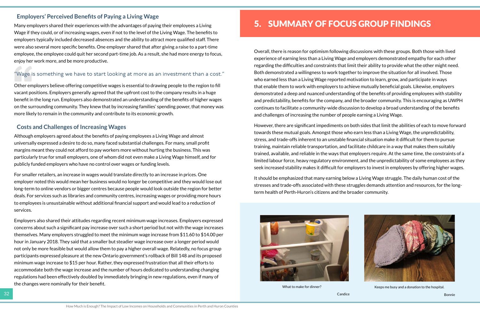#### <span id="page-17-0"></span>**Employers' Perceived Benefits of Paying a Living Wage**

Many employers shared their experiences with the advantages of paying their employees a Living Wage if they could, or of increasing wages, even if not to the level of the Living Wage. The benefits to employers typically included decreased absences and the ability to attract more qualified staff. There were also several more specific benefits. One employer shared that after giving a raise to a part-time employee, the employee could quit her second part-time job. As a result, she had more energy to focus, enjoy her work more, and be more productive.

Other employers believe offering competitive wages is essential to drawing people to the region to fill vacant positions. Employers generally agreed that the upfront cost to the company results in a huge benefit in the long run. Employers also demonstrated an understanding of the benefits of higher wages on the surrounding community. They knew that by increasing families' spending power, that money was more likely to remain in the community and contribute to its economic growth.

#### **Costs and Challenges of Increasing Wages**

Although employers agreed about the benefits of paying employees a Living Wage and almost universally expressed a desire to do so, many faced substantial challenges. For many, small profit margins meant they could not afford to pay workers more without hurting the business. This was particularly true for small employers, one of whom did not even make a Living Wage himself, and for publicly funded employers who have no control over wages or funding levels.

For smaller retailers, an increase in wages would translate directly to an increase in prices. One employer noted this would mean her business would no longer be competitive and they would lose out long-term to online vendors or bigger centres because people would look outside the region for better deals. For services such as libraries and community centres, increasing wages or providing more hours to employees is unsustainable without additional financial support and would lead to a reduction of services.

Employers also shared their attitudes regarding recent minimum wage increases. Employers expressed concerns about such a significant pay increase over such a short period but not with the wage increases themselves. Many employers struggled to meet the minimum wage increase from \$11.60 to \$14.00 per hour in January 2018. They said that a smaller but steadier wage increase over a longer period would not only be more feasible but would allow them to pay a higher overall wage. Relatedly, no focus group participants expressed pleasure at the new Ontario government's rollback of Bill 148 and its proposed minimum wage increase to \$15 per hour. Rather, they expressed frustration that all their efforts to accommodate both the wage increase and the number of hours dedicated to understanding changing regulations had been effectively doubled by immediately bringing in new regulations, even if many of the changes were nominally for their benefit.

# 5. SUMMARY OF FOCUS GROUP FINDINGS

Overall, there is reason for optimism following discussions with these groups. Both those with lived experience of earning less than a Living Wage and employers demonstrated empathy for each other regarding the difficulties and constraints that limit their ability to provide what the other might need. Both demonstrated a willingness to work together to improve the situation for all involved. Those who earned less than a Living Wage reported motivation to learn, grow, and participate in ways that enable them to work with employers to achieve mutually beneficial goals. Likewise, employers demonstrated a deep and nuanced understanding of the benefits of providing employees with stability and predictability, benefits for the company, and the broader community. This is encouraging as UWPH continues to facilitate a community-wide discussion to develop a broad understanding of the benefits and challenges of increasing the number of people earning a Living Wage.

However, there are significant impediments on both sides that limit the abilities of each to move forward towards these mutual goals. Amongst those who earn less than a Living Wage, the unpredictability, stress, and trade-offs inherent to an unstable financial situation make it difficult for them to pursue training, maintain reliable transportation, and facilitate childcare in a way that makes them suitably trained, available, and reliable in the ways that employers require. At the same time, the constraints of a limited labour force, heavy regulatory environment, and the unpredictability of some employees as they seek increased stability makes it difficult for employers to invest in employees by offering higher wages.

It should be emphasized that many earning below a Living Wage struggle. The daily human cost of the stresses and trade-offs associated with these struggles demands attention and resources, for the longterm health of Perth-Huron's citizens and the broader community.



#### "Wage is something we have to start looking at more as an investment than a cost."

What to make for dinner?



Keeps me busy and a donation to the hospital.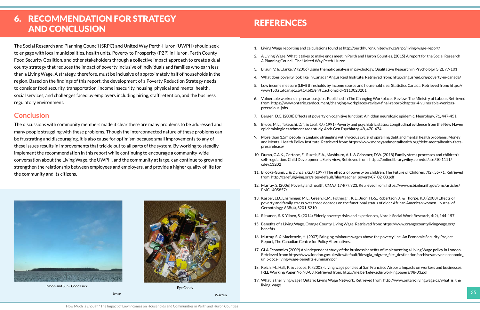How Much is Enough? The Impact of Low Incomes on Households and Communities in Perth and Huron Counties

# <span id="page-18-0"></span>6. RECOMMENDATION FOR STRATEGY AND CONCLUSION

The Social Research and Planning Council (SRPC) and United Way Perth-Huron (UWPH) should seek to engage with local municipalities, health units, Poverty to Prosperity (P2P) in Huron, Perth County Food Security Coalition, and other stakeholders through a collective impact approach to create a dual county strategy that reduces the impact of poverty inclusive of individuals and families who earn less than a Living Wage. A strategy, therefore, must be inclusive of approximately half of households in the region. Based on the findings of this report, the development of a Poverty Reduction Strategy needs to consider food security, transportation, income insecurity, housing, physical and mental health, social services, and challenges faced by employers including hiring, staff retention, and the business regulatory environment.

#### **Conclusion**

The discussions with community members made it clear there are many problems to be addressed and many people struggling with these problems. Though the interconnected nature of these problems can be frustrating and discouraging, it is also cause for optimism because small improvements to any of these issues results in improvements that trickle out to all parts of the system. By working to steadily implement the recommendation in this report while continuing to encourage a community-wide conversation about the Living Wage, the UWPH, and the community at large, can continue to grow and strengthen the relationship between employees and employers, and provide a higher quality of life for the community and its citizens.

- 1. Living Wage reporting and calculations found at http://perthhuron.unitedway.ca/srpc/living-wage-report/
- 2. A Living Wage: What it takes to make ends meet in Perth and Huron Counties. (2015) A report for the Social Research & Planning Council, The United Way Perth-Huron
- 3. Braun, V. & Clarke, V. (2006) Using thematic analysis in psychology. Qualitative Research in Psychology, 3(2), 77-101
- 4. What does poverty look like in Canada? Angus Reid Institute. Retrieved from: http://angusreid.org/poverty-in-canada/
- 5. Low income measure (LIM) thresholds by income source and household size. Statistics Canada. Retrieved from: https:// www150.statcan.gc.ca/t1/tbl1/en/tv.action?pid=1110023201
- 6. Vulnerable workers in precarious jobs. Published in The Changing Workplaces Review. The Ministry of Labour. Retrieved from: https://www.ontario.ca/document/changing-workplaces-review-final-report/chapter-4-vulnerable-workersprecarious-jobs
- 7. Bergen, D.C. (2008) Effects of poverty on cognitive function: A hidden neurologic epidemic. Neurology, 71, 447-451
- 8. Bruce, M.L., Takeuchi, D.T., & Leaf, P.J. (1991) Poverty and psychiatric status: Longitudinal evidence from the New Haven epidemiologic catchment area study, Arch Gen Psychiatry, 48, 470-474
- 9. More than 1.5m people in England struggling with 'vicious cycle' of spiralling debt and mental health problems. Money and Mental Health Policy Institute. Retrieved from: https://www.moneyandmentalhealth.org/debt-mentalhealth-factspressrelease/
- 10. Duran, C.A.K., Cottone, E., Ruzek, E.A., Mashburn, A.J., & Grissmer, D.W. (2018) Family stress processes and children's self-regulation. Child Development, Early view, Retrieved from: https://onlinelibrary.wiley.com/doi/abs/10.1111/ cdev.13202
- 11. Brooks-Gunn, J. & Duncan, G.J. (1997) The effects of poverty on children, The Future of Children, 7(2), 55-71. Retrieved from: http://carefulgiving.org/sites/default/files/teacher\_poverty07\_02\_03.pdf
- 12. Murray, S. (2006) Poverty and health, CMAJ, 174(7), 923. Retrieved from: https://www.ncbi.nlm.nih.gov/pmc/articles/ PMC1405857/
- 13. Kasper, J.D., Ensminger, M.E., Green, K.M., Fothergill, K.E., Juon, H.-S., Robertson, J., & Thorpe, R.J. (2008) Effects of poverty and family stress over three decades on the functional status of older African American women. Journal of Gerontology, 63B(4), S201-S210
- 14. Rissanen, S. & Ylinen, S. (2014) Elderly poverty: risks and experiences, Nordic Social Work Research, 4(2), 144-157.
- 15. Benefits of a Living Wage. Orange County Living Wage. Retrieved from: https://www.orangecountylivingwage.org/ benefits
- 16. Murray, S. & Mackenzie, H. (2007) Bringing minimum wages above the poverty line. An Economic Security Project Report, The Canadian Centre for Policy Alternatives.
- 17. GLA Economics (2009) An independent study of the business benefits of implementing a Living Wage policy in London. Retrieved from: https://www.london.gov.uk/sites/default/files/gla\_migrate\_files\_destination/archives/mayor-economic\_ unit-docs-living-wage-benefits-summary.pdf
- 18. Reich, M., Hall, P., & Jacobs, K. (2003) Living wage policies at San Francisco Airport: Impacts on workers and businesses. IRLE Working Paper No. 98-03. Retrieved from: http://irle.berkeley.edu/workingpapers/98-03.pdf
- 19. What is the living wage? Ontario Living Wage Network. Retrieved from: http://www.ontariolivingwage.ca/what\_is\_the\_



Warren

# **REFERENCES**



Moon and Sun - Good Luck

Jesse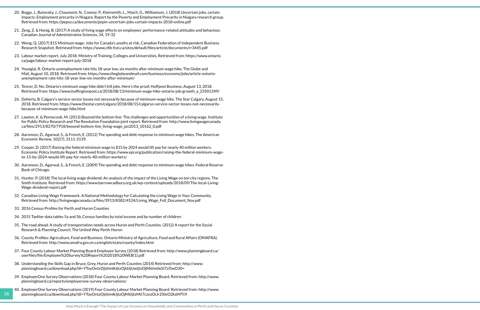36

- 20. Boggs, J., Butovsky, J., Chaumont, N., Connor, P., Kleinsmith, L., Maich, G., Williamson, J. (2018) Uncertain jobs, certain impacts: Employment precarity in Niagara. Report by the Poverty and Employment Precarity in Niagara research group. Retrieved from: https://pepso.ca/documents/pepin-uncertain-jobs-certain-impacts-2018-online.pdf
- 21. Zeng, Z. & Honig, B. (2017) A study of living wage effects on employees' performance-related attitudes and behaviour, Canadian Journal of Administrative Sciences, 34, 19-32
- 22. Wong, Q. (2017) \$15 Minimum wage: Jobs for Canada's youths at risk, Canadian Federation of Independent Business Research Snapshot. Retrieved from: https://www.cfib-fcei.ca/sites/default/files/article/documents/rr3445.pdf
- 23. Labour market report, July 2018. Ministry of Training, Colleges and Universities. Retrieved from: https://www.ontario. ca/page/labour-market-report-july-2018
- 24. Younglai, R. Ontario unemployment rate hits 18-year low, six months after minimum wage hike, The Globe and Mail, August 10, 2018. Retrieved from: https://www.theglobeandmail.com/business/economy/jobs/article-ontariounemployment-rate-hits-18-year-low-six-months-after-minimum/
- 25. Tencer, D. No, Ontario's minimum wage hike didn't kill jobs. Here's the proof, Huffpost Business, August 13, 2018. Retrieved from: https://www.huffingtonpost.ca/2018/08/13/minimum-wage-hike-ontario-job-growth\_a\_23501349/
- 26. Doherty, B. Calgary's service-sector losses not necessarily because of minimum-wage hike. The Star Calgary, August 15, 2018. Retrieved from: https://www.thestar.com/calgary/2018/08/15/calgarys-service-sector-losses-not-necessarilybecause-of-minimum-wage-hike.html
- 27. Lawton, K. & Pennycook, M. (2013) Beyond the bottom line: The challenges and opportunities of a living wage. Institute for Public Policy Research and The Resolution Foundation joint report. Retrieved from: http://www.livingwagecanada. ca/files/2913/8270/7918/beyond-bottom-line\_living-wage\_jan2013\_10162\_0.pdf
- 28. Aaronson, D., Agarwal, S., & French, E. (2012) The spending and debt response to minimum wage hikes, The American Economic Review, 102(7), 3111-3139.
- 29. Cooper, D. (2017) Raising the federal minimum wage to \$15 by 2024 would lift pay for nearly 40 million workers. Economic Policy Institute Report. Retrieved from: https://www.epi.org/publication/raising-the-federal-minimum-wageto-15-by-2024-would-lift-pay-for-nearly-40-million-workers/
- 30. Aaronson, D., Agarwal, S., & French, E. (2009) The spending and debt response to minimum wage hikes. Federal Reserve Bank of Chicago.
- 31. Hunter, P. (2018) The local living wage dividend: An analysis of the impact of the Living Wage on ten city regions. The Smith Institute. Retrieved from: https://www.barrowcadbury.org.uk/wp-content/uploads/2018/09/The-local-Living-Wage-dividend-report.pdf
- 32. Canadian Living Wage Framework. A National Methodology for Calculating the Living Wage in Your Community. Retrieved from: http://livingwagecanada.ca/files/3913/8382/4524/Living\_Wage\_Full\_Document\_Nov.pdf
- 33. 2016 Census Profiles for Perth and Huron Counties

- 34. 2015 Taxfiler data tables 5a and 5b, Census families by total income and by number of children
- 35. The road ahead: A study of transportation needs across Huron and Perth Counties. (2012) A report for the Social Research & Planning Council, The United Way Perth-Huron
- 36. County Profiles: Agriculture, Food and Business. Ontario Ministry of Agriculture, Food and Rural Affairs (OMAFRA). Retrieved from: http://www.omafra.gov.on.ca/english/stats/county/index.html
- 37. Four County Labour Market Planning Board Employee Survey (2018) Retrieved from: http://www.planningboard.ca/ userfiles/file/Employee%20Survey%20Report%202018%20WEB(1).pdf
- 38. Understanding the Skills Gap in Bruce, Grey, Huron and Perth Counties (2014) Retrieved from: http://www. planningboard.ca/download.php?dl=YToyOntzOjI6ImlkIjtzOjI6IjUwIjtzOjM6ImtleSI7aToxO30=
- 39. EmployerOne Survey Observations (2018) Four County Labour Market Planning Board. Retrieved from: http://www. planningboard.ca/reports/employerone-survey-observations/
- 40. EmployerOne Survey Observations (2019) Four County Labour Market Planning Board. Retrieved from: http://www. planningboard.ca/download.php?dl=YToyOntzOjI6ImlkIjtzOjM6IjIzMiI7czozOiJrZXkiO2k6MTt9